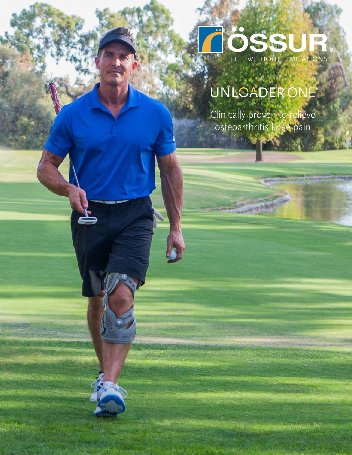

# UNLOADER ONE®

Clinically proven to relieve osteoarthritis knee pain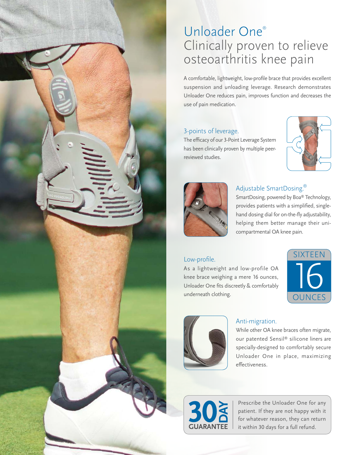# Unloader One® Clinically proven to relieve osteoarthritis knee pain

A comfortable, lightweight, low-profile brace that provides excellent suspension and unloading leverage. Research demonstrates Unloader One reduces pain, improves function and decreases the use of pain medication.

#### 3-points of leverage.

The efficacy of our 3-Point Leverage System has been clinically proven by multiple peerreviewed studies.





### Adjustable SmartDosing.®

SmartDosing, powered by Boa® Technology, provides patients with a simplified, singlehand dosing dial for on-the-fly adjustability, helping them better manage their unicompartmental OA knee pain.

#### Low-profile.

As a lightweight and low-profile OA knee brace weighing a mere 16 ounces, Unloader One fits discreetly & comfortably underneath clothing.





#### Anti-migration.

While other OA knee braces often migrate, our patented Sensil® silicone liners are specially-designed to comfortably secure Unloader One in place, maximizing effectiveness.



Prescribe the Unloader One for any patient. If they are not happy with it for whatever reason, they can return it within 30 days for a full refund.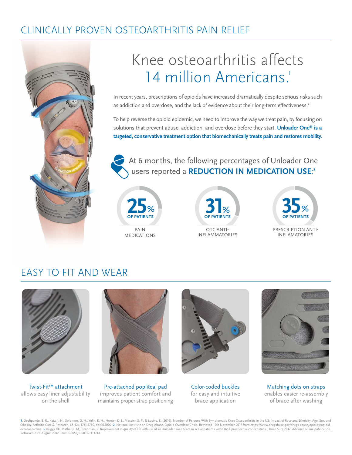### CLINICALLY PROVEN OSTEOARTHRITIS PAIN RELIEF



# Knee osteoarthritis affects 14 million Americans.<sup>1</sup>

In recent years, prescriptions of opioids have increased dramatically despite serious risks such as addiction and overdose, and the lack of evidence about their long-term effectiveness.<sup>2</sup>

To help reverse the opioid epidemic, we need to improve the way we treat pain, by focusing on solutions that prevent abuse, addiction, and overdose before they start. **Unloader One® is a targeted, conservative treatment option that biomechanically treats pain and restores mobility.**

At 6 months, the following percentages of Unloader One users reported a **REDUCTION IN MEDICATION USE**: 3







### EASY TO FIT AND WEAR



Twist-Fit™ attachment allows easy liner adjustability on the shell



Pre-attached popliteal pad improves patient comfort and maintains proper strap positioning



Color-coded buckles for easy and intuitive brace application



Matching dots on straps enables easier re-assembly of brace after washing

1. Deshpande, B. R., Katz. J. N., Solomon, D. H., Yelin, E. H., Hunter, D. J., Messier, S. P., & Losina, E. (2016). Number of Persons With Symptomatic Knee Osteoarthritis in the US: Impact of Race and Ethnicity, Age, Sex, Retrieved 23rd August 2012. DOI:10.1055/S-0032-1313748.